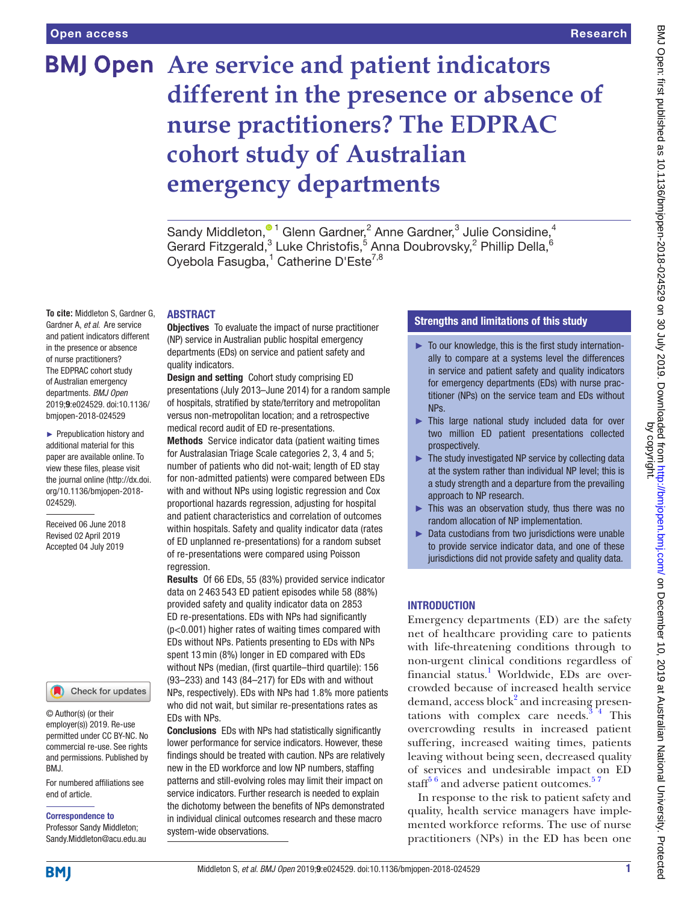# **BMJ Open** Are service and patient indicators **different in the presence or absence of nurse practitioners? The EDPRAC cohort study of Australian emergency departments**

Sandy Middleton,<sup>® 1</sup> Glenn Gardner,<sup>2</sup> Anne Gardner,<sup>3</sup> Julie Considine,<sup>4</sup> Gerard Fitzgerald,<sup>[3](http://orcid.org/0000-0002-7201-4394)</sup> Luke Christofis,<sup>5</sup> Anna Doubrovsky,<sup>2</sup> Phillip Della,<sup>6</sup> Oyebola Fasugba,<sup>1</sup> Catherine D'Este<sup>7,8</sup>

### **ABSTRACT**

**Objectives** To evaluate the impact of nurse practitioner (NP) service in Australian public hospital emergency departments (EDs) on service and patient safety and quality indicators.

Design and setting Cohort study comprising ED presentations (July 2013–June 2014) for a random sample of hospitals, stratified by state/territory and metropolitan versus non-metropolitan location; and a retrospective medical record audit of ED re-presentations.

Methods Service indicator data (patient waiting times for Australasian Triage Scale categories 2, 3, 4 and 5; number of patients who did not-wait; length of ED stay for non-admitted patients) were compared between EDs with and without NPs using logistic regression and Cox proportional hazards regression, adjusting for hospital and patient characteristics and correlation of outcomes within hospitals. Safety and quality indicator data (rates of ED unplanned re-presentations) for a random subset of re-presentations were compared using Poisson regression.

Results Of 66 EDs, 55 (83%) provided service indicator data on 2 463 543 ED patient episodes while 58 (88%) provided safety and quality indicator data on 2853 ED re-presentations. EDs with NPs had significantly (p<0.001) higher rates of waiting times compared with EDs without NPs. Patients presenting to EDs with NPs spent 13 min (8%) longer in ED compared with EDs without NPs (median, (first quartile–third quartile): 156 (93–233) and 143 (84–217) for EDs with and without NPs, respectively). EDs with NPs had 1.8% more patients who did not wait, but similar re-presentations rates as EDs with NPs.

Conclusions EDs with NPs had statistically significantly lower performance for service indicators. However, these findings should be treated with caution. NPs are relatively new in the ED workforce and low NP numbers, staffing patterns and still-evolving roles may limit their impact on service indicators. Further research is needed to explain the dichotomy between the benefits of NPs demonstrated in individual clinical outcomes research and these macro system-wide observations.

# Strengths and limitations of this study

- ► To our knowledge, this is the first study internationally to compare at a systems level the differences in service and patient safety and quality indicators for emergency departments (EDs) with nurse practitioner (NPs) on the service team and EDs without NPs.
- ► This large national study included data for over two million ED patient presentations collected prospectively.
- $\blacktriangleright$  The study investigated NP service by collecting data at the system rather than individual NP level; this is a study strength and a departure from the prevailing approach to NP research.
- $\blacktriangleright$  This was an observation study, thus there was no random allocation of NP implementation.
- ► Data custodians from two jurisdictions were unable to provide service indicator data, and one of these jurisdictions did not provide safety and quality data.

# **INTRODUCTION**

Emergency departments (ED) are the safety net of healthcare providing care to patients with life-threatening conditions through to non-urgent clinical conditions regardless of financial status.<sup>1</sup> Worldwide, EDs are overcrowded because of increased health service demand, access block<sup>[2](#page-9-1)</sup> and increasing presentations with complex care needs. $3<sup>4</sup>$  This overcrowding results in increased patient suffering, increased waiting times, patients leaving without being seen, decreased quality of services and undesirable impact on ED staff<sup>5 6</sup> and adverse patient outcomes.<sup>57</sup>

In response to the risk to patient safety and quality, health service managers have implemented workforce reforms. The use of nurse practitioners (NPs) in the ED has been one

**To cite:** Middleton S, Gardner G, Gardner A, *et al*. Are service and patient indicators different in the presence or absence of nurse practitioners? The EDPRAC cohort study of Australian emergency departments. *BMJ Open* 2019;9:e024529. doi:10.1136/ bmjopen-2018-024529

► Prepublication history and additional material for this paper are available online. To view these files, please visit the journal online (http://dx.doi. org/10.1136/bmjopen-2018- 024529).

Received 06 June 2018 Revised 02 April 2019 Accepted 04 July 2019



© Author(s) (or their employer(s)) 2019. Re-use permitted under CC BY-NC. No commercial re-use. See rights and permissions. Published by BMJ.

For numbered affiliations see end of article.

Correspondence to

Professor Sandy Middleton; Sandy.Middleton@acu.edu.au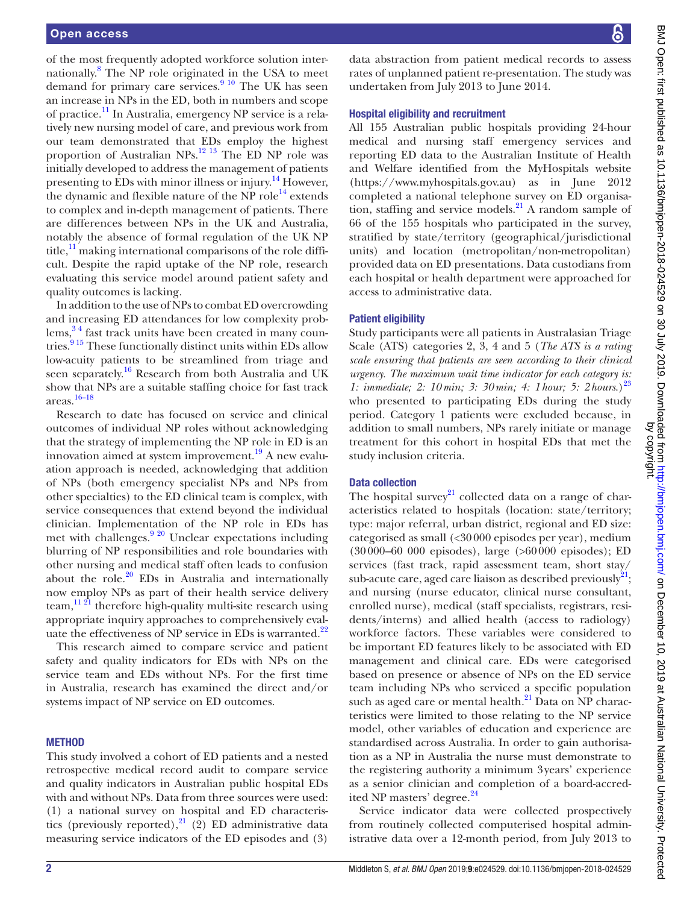of the most frequently adopted workforce solution internationally.<sup>8</sup> The NP role originated in the USA to meet demand for primary care services. $910$  The UK has seen an increase in NPs in the ED, both in numbers and scope of practice[.11](#page-9-6) In Australia, emergency NP service is a relatively new nursing model of care, and previous work from our team demonstrated that EDs employ the highest proportion of Australian NPs.<sup>12 13</sup> The ED NP role was initially developed to address the management of patients presenting to EDs with minor illness or injury.<sup>14</sup> However, the dynamic and flexible nature of the NP role<sup>14</sup> extends to complex and in-depth management of patients. There are differences between NPs in the UK and Australia, notably the absence of formal regulation of the UK NP title, $\frac{11}{11}$  making international comparisons of the role difficult. Despite the rapid uptake of the NP role, research evaluating this service model around patient safety and quality outcomes is lacking.

In addition to the use of NPs to combat ED overcrowding and increasing ED attendances for low complexity prob $lems, <sup>34</sup>$  fast track units have been created in many countries.<sup>915</sup> These functionally distinct units within EDs allow low-acuity patients to be streamlined from triage and seen separately.<sup>16</sup> Research from both Australia and UK show that NPs are a suitable staffing choice for fast track areas. [16–18](#page-9-9)

Research to date has focused on service and clinical outcomes of individual NP roles without acknowledging that the strategy of implementing the NP role in ED is an innovation aimed at system improvement.<sup>19</sup> A new evaluation approach is needed, acknowledging that addition of NPs (both emergency specialist NPs and NPs from other specialties) to the ED clinical team is complex, with service consequences that extend beyond the individual clinician. Implementation of the NP role in EDs has met with challenges.<sup>9 20</sup> Unclear expectations including blurring of NP responsibilities and role boundaries with other nursing and medical staff often leads to confusion about the role. $20$  EDs in Australia and internationally now employ NPs as part of their health service delivery team,<sup>[11 21](#page-9-6)</sup> therefore high-quality multi-site research using appropriate inquiry approaches to comprehensively evaluate the effectiveness of NP service in EDs is warranted.<sup>22</sup>

This research aimed to compare service and patient safety and quality indicators for EDs with NPs on the service team and EDs without NPs. For the first time in Australia, research has examined the direct and/or systems impact of NP service on ED outcomes.

#### **METHOD**

This study involved a cohort of ED patients and a nested retrospective medical record audit to compare service and quality indicators in Australian public hospital EDs with and without NPs. Data from three sources were used: (1) a national survey on hospital and ED characteristics (previously reported),<sup>21</sup> (2) ED administrative data measuring service indicators of the ED episodes and (3)

data abstraction from patient medical records to assess rates of unplanned patient re-presentation. The study was undertaken from July 2013 to June 2014.

# Hospital eligibility and recruitment

All 155 Australian public hospitals providing 24-hour medical and nursing staff emergency services and reporting ED data to the Australian Institute of Health and Welfare identified from the MyHospitals website [\(https://www.myhospitals.gov.au\)](https://www.myhospitals.gov.au) as in June 2012 completed a national telephone survey on ED organisation, staffing and service models. $^{21}$  $^{21}$  $^{21}$  A random sample of 66 of the 155 hospitals who participated in the survey, stratified by state/territory (geographical/jurisdictional units) and location (metropolitan/non-metropolitan) provided data on ED presentations. Data custodians from each hospital or health department were approached for access to administrative data.

#### Patient eligibility

Study participants were all patients in Australasian Triage Scale (ATS) categories 2, 3, 4 and 5 (*The ATS is a rating scale ensuring that patients are seen according to their clinical urgency. The maximum wait time indicator for each category is: 1: immediate; 2: 10 min; 3: 30 min; 4: 1 hour; 5: 2 hours.*)<sup>[23](#page-10-1)</sup> who presented to participating EDs during the study period. Category 1 patients were excluded because, in addition to small numbers, NPs rarely initiate or manage treatment for this cohort in hospital EDs that met the study inclusion criteria.

#### Data collection

The hospital survey<sup>[21](#page-9-12)</sup> collected data on a range of characteristics related to hospitals (location: state/territory; type: major referral, urban district, regional and ED size: categorised as small (<30000 episodes per year), medium (30000–60 000 episodes), large (>60000 episodes); ED services (fast track, rapid assessment team, short stay/ sub-acute care, aged care liaison as described previously $2^1$ ; and nursing (nurse educator, clinical nurse consultant, enrolled nurse), medical (staff specialists, registrars, residents/interns) and allied health (access to radiology) workforce factors. These variables were considered to be important ED features likely to be associated with ED management and clinical care. EDs were categorised based on presence or absence of NPs on the ED service team including NPs who serviced a specific population such as aged care or mental health. $^{21}$  Data on NP characteristics were limited to those relating to the NP service model, other variables of education and experience are standardised across Australia. In order to gain authorisation as a NP in Australia the nurse must demonstrate to the registering authority a minimum 3years' experience as a senior clinician and completion of a board-accredited NP masters' degree.<sup>24</sup>

Service indicator data were collected prospectively from routinely collected computerised hospital administrative data over a 12-month period, from July 2013 to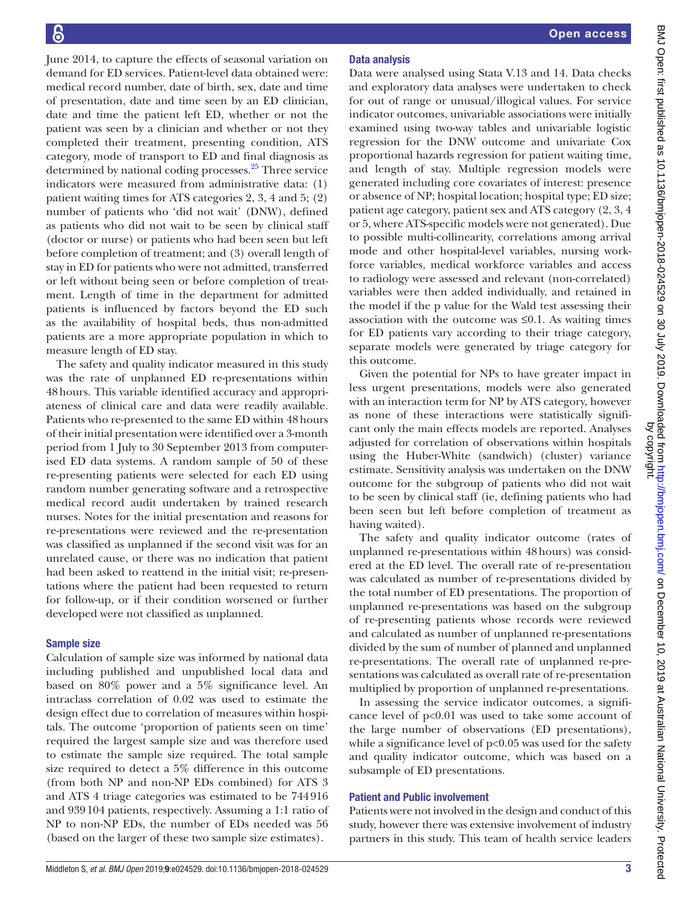June 2014, to capture the effects of seasonal variation on demand for ED services. Patient-level data obtained were: medical record number, date of birth, sex, date and time of presentation, date and time seen by an ED clinician, date and time the patient left ED, whether or not the patient was seen by a clinician and whether or not they completed their treatment, presenting condition, ATS category, mode of transport to ED and final diagnosis as determined by national coding processes.<sup>[25](#page-10-3)</sup> Three service indicators were measured from administrative data: (1) patient waiting times for ATS categories 2, 3, 4 and 5; (2) number of patients who 'did not wait' (DNW), defined as patients who did not wait to be seen by clinical staff (doctor or nurse) or patients who had been seen but left before completion of treatment; and (3) overall length of stay in ED for patients who were not admitted, transferred or left without being seen or before completion of treatment. Length of time in the department for admitted patients is influenced by factors beyond the ED such as the availability of hospital beds, thus non-admitted patients are a more appropriate population in which to measure length of ED stay.

The safety and quality indicator measured in this study was the rate of unplanned ED re-presentations within 48hours. This variable identified accuracy and appropriateness of clinical care and data were readily available. Patients who re-presented to the same ED within 48hours of their initial presentation were identified over a 3-month period from 1 July to 30 September 2013 from computerised ED data systems. A random sample of 50 of these re-presenting patients were selected for each ED using random number generating software and a retrospective medical record audit undertaken by trained research nurses. Notes for the initial presentation and reasons for re-presentations were reviewed and the re-presentation was classified as unplanned if the second visit was for an unrelated cause, or there was no indication that patient had been asked to reattend in the initial visit; re-presentations where the patient had been requested to return for follow-up, or if their condition worsened or further developed were not classified as unplanned.

# Sample size

Calculation of sample size was informed by national data including published and unpublished local data and based on 80% power and a 5% significance level. An intraclass correlation of 0.02 was used to estimate the design effect due to correlation of measures within hospitals. The outcome 'proportion of patients seen on time' required the largest sample size and was therefore used to estimate the sample size required. The total sample size required to detect a 5% difference in this outcome (from both NP and non-NP EDs combined) for ATS 3 and ATS 4 triage categories was estimated to be 744916 and 939104 patients, respectively. Assuming a 1:1 ratio of NP to non-NP EDs, the number of EDs needed was 56 (based on the larger of these two sample size estimates).

# Data analysis

Data were analysed using Stata V.13 and 14. Data checks and exploratory data analyses were undertaken to check for out of range or unusual/illogical values. For service indicator outcomes, univariable associations were initially examined using two-way tables and univariable logistic regression for the DNW outcome and univariate Cox proportional hazards regression for patient waiting time, and length of stay. Multiple regression models were generated including core covariates of interest: presence or absence of NP; hospital location; hospital type; ED size; patient age category, patient sex and ATS category (2, 3, 4 or 5, where ATS-specific models were not generated). Due to possible multi-collinearity, correlations among arrival mode and other hospital-level variables, nursing workforce variables, medical workforce variables and access to radiology were assessed and relevant (non-correlated) variables were then added individually, and retained in the model if the p value for the Wald test assessing their association with the outcome was  $\leq 0.1$ . As waiting times for ED patients vary according to their triage category, separate models were generated by triage category for this outcome.

Given the potential for NPs to have greater impact in less urgent presentations, models were also generated with an interaction term for NP by ATS category, however as none of these interactions were statistically significant only the main effects models are reported. Analyses adjusted for correlation of observations within hospitals using the Huber-White (sandwich) (cluster) variance estimate. Sensitivity analysis was undertaken on the DNW outcome for the subgroup of patients who did not wait to be seen by clinical staff (ie, defining patients who had been seen but left before completion of treatment as having waited).

The safety and quality indicator outcome (rates of unplanned re-presentations within 48hours) was considered at the ED level. The overall rate of re-presentation was calculated as number of re-presentations divided by the total number of ED presentations. The proportion of unplanned re-presentations was based on the subgroup of re-presenting patients whose records were reviewed and calculated as number of unplanned re-presentations divided by the sum of number of planned and unplanned re-presentations. The overall rate of unplanned re-presentations was calculated as overall rate of re-presentation multiplied by proportion of unplanned re-presentations.

In assessing the service indicator outcomes, a significance level of p<0.01 was used to take some account of the large number of observations (ED presentations), while a significance level of  $p<0.05$  was used for the safety and quality indicator outcome, which was based on a subsample of ED presentations.

# Patient and Public involvement

Patients were not involved in the design and conduct of this study, however there was extensive involvement of industry partners in this study. This team of health service leaders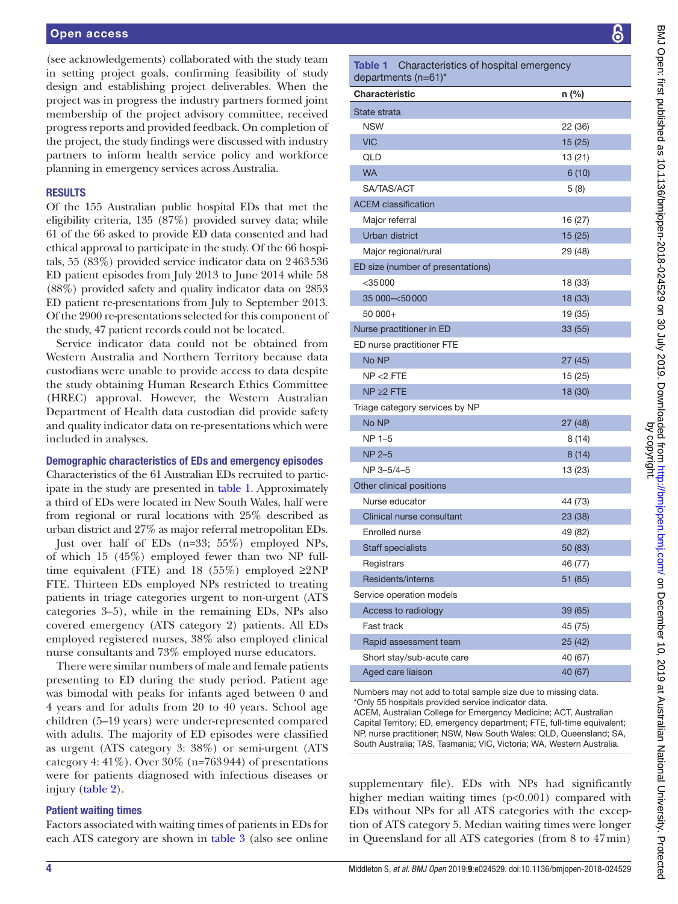(see acknowledgements) collaborated with the study team in setting project goals, confirming feasibility of study design and establishing project deliverables. When the project was in progress the industry partners formed joint membership of the project advisory committee, received progress reports and provided feedback. On completion of the project, the study findings were discussed with industry partners to inform health service policy and workforce planning in emergency services across Australia.

 $S$ 

#### **RESULTS**

Of the 155 Australian public hospital EDs that met the eligibility criteria, 135 (87%) provided survey data; while 61 of the 66 asked to provide ED data consented and had ethical approval to participate in the study. Of the 66 hospitals, 55 (83%) provided service indicator data on 2463536 ED patient episodes from July 2013 to June 2014 while 58 (88%) provided safety and quality indicator data on 2853 ED patient re-presentations from July to September 2013. Of the 2900 re-presentations selected for this component of the study, 47 patient records could not be located.

Service indicator data could not be obtained from Western Australia and Northern Territory because data custodians were unable to provide access to data despite the study obtaining Human Research Ethics Committee (HREC) approval. However, the Western Australian Department of Health data custodian did provide safety and quality indicator data on re-presentations which were included in analyses.

### Demographic characteristics of EDs and emergency episodes

Characteristics of the 61 Australian EDs recruited to participate in the study are presented in [table](#page-3-0) 1. Approximately a third of EDs were located in New South Wales, half were from regional or rural locations with 25% described as urban district and 27% as major referral metropolitan EDs.

Just over half of EDs (n=33; 55%) employed NPs, of which 15 (45%) employed fewer than two NP fulltime equivalent (FTE) and 18 (55%) employed  $\geq 2NP$ FTE. Thirteen EDs employed NPs restricted to treating patients in triage categories urgent to non-urgent (ATS categories 3–5), while in the remaining EDs, NPs also covered emergency (ATS category 2) patients. All EDs employed registered nurses, 38% also employed clinical nurse consultants and 73% employed nurse educators.

There were similar numbers of male and female patients presenting to ED during the study period. Patient age was bimodal with peaks for infants aged between 0 and 4 years and for adults from 20 to 40 years. School age children (5–19 years) were under-represented compared with adults. The majority of ED episodes were classified as urgent (ATS category 3: 38%) or semi-urgent (ATS category 4: 41%). Over 30% (n=763944) of presentations were for patients diagnosed with infectious diseases or injury [\(table](#page-4-0) 2).

### Patient waiting times

Factors associated with waiting times of patients in EDs for each ATS category are shown in [table](#page-5-0) 3 (also see [online](https://dx.doi.org/10.1136/bmjopen-2018-024529)

<span id="page-3-0"></span>

| Table 1<br>Characteristics of hospital emergency<br>departments $(n=61)^*$ |         |
|----------------------------------------------------------------------------|---------|
| Characteristic                                                             | $n$ (%) |
| State strata                                                               |         |
| <b>NSW</b>                                                                 | 22 (36) |
| <b>VIC</b>                                                                 | 15 (25) |
| QLD                                                                        | 13 (21) |
| <b>WA</b>                                                                  | 6(10)   |
| SA/TAS/ACT                                                                 | 5(8)    |
| <b>ACEM</b> classification                                                 |         |
| Major referral                                                             | 16 (27) |
| Urban district                                                             | 15(25)  |
| Major regional/rural                                                       | 29 (48) |
| ED size (number of presentations)                                          |         |
| $<$ 35000                                                                  | 18 (33) |
| 35 000 -< 50 000                                                           | 18 (33) |
| 50 000+                                                                    | 19 (35) |
| Nurse practitioner in ED                                                   | 33(55)  |
| ED nurse practitioner FTE                                                  |         |
| No NP                                                                      | 27(45)  |
| $NP < 2$ FTE                                                               | 15 (25) |
| $NP \geq 2$ FTE                                                            | 18 (30) |
| Triage category services by NP                                             |         |
| No NP                                                                      | 27 (48) |
| NP 1-5                                                                     | 8(14)   |
| NP 2-5                                                                     | 8(14)   |
| NP 3-5/4-5                                                                 | 13 (23) |
| Other clinical positions                                                   |         |
| Nurse educator                                                             | 44 (73) |
| Clinical nurse consultant                                                  | 23 (38) |
| Enrolled nurse                                                             | 49 (82) |
| Staff specialists                                                          | 50 (83) |
| Registrars                                                                 | 46 (77) |
| Residents/interns                                                          | 51 (85) |
| Service operation models                                                   |         |
| Access to radiology                                                        | 39 (65) |
| Fast track                                                                 | 45 (75) |
| Rapid assessment team                                                      | 25 (42) |
| Short stay/sub-acute care                                                  | 40 (67) |
| Aged care liaison                                                          | 40 (67) |

Numbers may not add to total sample size due to missing data. \*Only 55 hospitals provided service indicator data.

ACEM, Australian College for Emergency Medicine; ACT, Australian Capital Territory; ED, emergency department; FTE, full-time equivalent; NP, nurse practitioner; NSW, New South Wales; QLD, Queensland; SA, South Australia; TAS, Tasmania; VIC, Victoria; WA, Western Australia.

[supplementary file](https://dx.doi.org/10.1136/bmjopen-2018-024529)). EDs with NPs had significantly higher median waiting times (p<0.001) compared with EDs without NPs for all ATS categories with the exception of ATS category 5. Median waiting times were longer in Queensland for all ATS categories (from 8 to 47min)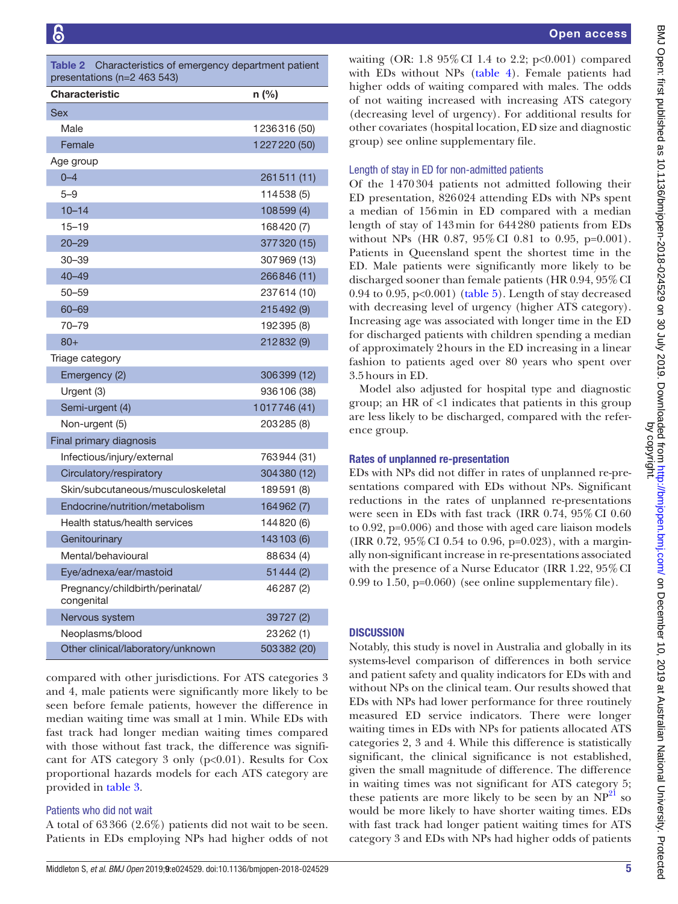<span id="page-4-0"></span>

|                                 | Table 2 Characteristics of emergency department patient |
|---------------------------------|---------------------------------------------------------|
| presentations $(n=2, 463, 543)$ |                                                         |

| <b>Characteristic</b>                         | n (%)        |
|-----------------------------------------------|--------------|
| <b>Sex</b>                                    |              |
| Male                                          | 1236316 (50) |
| Female                                        | 1227220 (50) |
| Age group                                     |              |
| $0 - 4$                                       | 261511 (11)  |
| $5 - 9$                                       | 114538 (5)   |
| $10 - 14$                                     | 108599 (4)   |
| $15 - 19$                                     | 168420 (7)   |
| $20 - 29$                                     | 377320 (15)  |
| 30-39                                         | 307969 (13)  |
| $40 - 49$                                     | 266846 (11)  |
| 50-59                                         | 237614 (10)  |
| 60-69                                         | 215492 (9)   |
| 70-79                                         | 192395 (8)   |
| $80+$                                         | 212832 (9)   |
| Triage category                               |              |
| Emergency (2)                                 | 306399 (12)  |
| Urgent (3)                                    | 936106 (38)  |
| Semi-urgent (4)                               | 1017746 (41) |
| Non-urgent (5)                                | 203285 (8)   |
| Final primary diagnosis                       |              |
| Infectious/injury/external                    | 763944 (31)  |
| Circulatory/respiratory                       | 304380 (12)  |
| Skin/subcutaneous/musculoskeletal             | 189591 (8)   |
| Endocrine/nutrition/metabolism                | 164962 (7)   |
| Health status/health services                 | 144820 (6)   |
| Genitourinary                                 | 143103 (6)   |
| Mental/behavioural                            | 88634 (4)    |
| Eye/adnexa/ear/mastoid                        | 51 444 (2)   |
| Pregnancy/childbirth/perinatal/<br>congenital | 46287 (2)    |
| Nervous system                                | 39727 (2)    |
| Neoplasms/blood                               | 23262(1)     |
| Other clinical/laboratory/unknown             | 503382 (20)  |

compared with other jurisdictions. For ATS categories 3 and 4, male patients were significantly more likely to be seen before female patients, however the difference in median waiting time was small at 1min. While EDs with fast track had longer median waiting times compared with those without fast track, the difference was significant for ATS category 3 only  $(p<0.01)$ . Results for Cox proportional hazards models for each ATS category are provided in [table](#page-5-0) 3.

### Patients who did not wait

A total of 63366 (2.6%) patients did not wait to be seen. Patients in EDs employing NPs had higher odds of not

waiting (OR: 1.8 95% CI 1.4 to 2.2; p<0.001) compared with EDs without NPs ([table](#page-6-0) 4). Female patients had higher odds of waiting compared with males. The odds of not waiting increased with increasing ATS category (decreasing level of urgency). For additional results for other covariates (hospital location, ED size and diagnostic group) see [online supplementary file](https://dx.doi.org/10.1136/bmjopen-2018-024529).

# Length of stay in ED for non-admitted patients

Of the 1470304 patients not admitted following their ED presentation, 826024 attending EDs with NPs spent a median of 156min in ED compared with a median length of stay of 143min for 644280 patients from EDs without NPs (HR 0.87, 95% CI 0.81 to 0.95, p=0.001). Patients in Queensland spent the shortest time in the ED. Male patients were significantly more likely to be discharged sooner than female patients (HR 0.94, 95% CI 0.94 to 0.95,  $p<0.001$ ) [\(table](#page-7-0) 5). Length of stay decreased with decreasing level of urgency (higher ATS category). Increasing age was associated with longer time in the ED for discharged patients with children spending a median of approximately 2hours in the ED increasing in a linear fashion to patients aged over 80 years who spent over 3.5hours in ED.

Model also adjusted for hospital type and diagnostic group; an HR of <1 indicates that patients in this group are less likely to be discharged, compared with the reference group.

# Rates of unplanned re-presentation

EDs with NPs did not differ in rates of unplanned re-presentations compared with EDs without NPs. Significant reductions in the rates of unplanned re-presentations were seen in EDs with fast track (IRR 0.74, 95%CI 0.60 to 0.92, p=0.006) and those with aged care liaison models (IRR 0.72, 95%CI 0.54 to 0.96, p=0.023), with a marginally non-significant increase in re-presentations associated with the presence of a Nurse Educator (IRR 1.22, 95% CI 0.99 to 1.50, p=0.060) (see [online supplementary file](https://dx.doi.org/10.1136/bmjopen-2018-024529)).

# **DISCUSSION**

Notably, this study is novel in Australia and globally in its systems-level comparison of differences in both service and patient safety and quality indicators for EDs with and without NPs on the clinical team. Our results showed that EDs with NPs had lower performance for three routinely measured ED service indicators. There were longer waiting times in EDs with NPs for patients allocated ATS categories 2, 3 and 4. While this difference is statistically significant, the clinical significance is not established, given the small magnitude of difference. The difference in waiting times was not significant for ATS category 5; these patients are more likely to be seen by an  $NP^{21}$  so would be more likely to have shorter waiting times. EDs with fast track had longer patient waiting times for ATS category 3 and EDs with NPs had higher odds of patients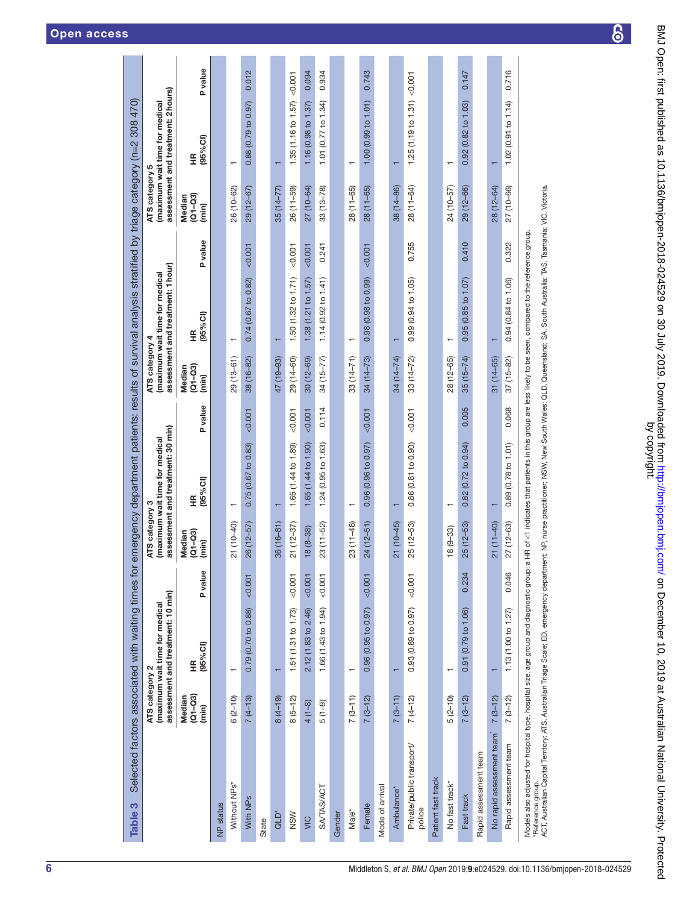<span id="page-5-0"></span>

| Table 3                                                                                                                                                                                               |                                  | Selected factors associated with waiting times for                  |          |                                  |                                                                     |                |                                | emergency department patients: results of survival analysis stratified by triage category (n=2 308 470)                                                                                                                                 |         |                                  |                                                                     |                |
|-------------------------------------------------------------------------------------------------------------------------------------------------------------------------------------------------------|----------------------------------|---------------------------------------------------------------------|----------|----------------------------------|---------------------------------------------------------------------|----------------|--------------------------------|-----------------------------------------------------------------------------------------------------------------------------------------------------------------------------------------------------------------------------------------|---------|----------------------------------|---------------------------------------------------------------------|----------------|
|                                                                                                                                                                                                       | ATS category                     | assessment and treatment: 10 min)<br>(maximum wait time for medical |          | ATS category 3                   | assessment and treatment: 30 min)<br>(maximum wait time for medical |                | ATS category 4                 | assessment and treatment: 1 hour)<br>(maximum wait time for medical                                                                                                                                                                     |         | ATS category 5                   | assessment and treatment: 2hours)<br>(maximum wait time for medical |                |
|                                                                                                                                                                                                       | $(Q_1 - Q_3)$<br>Median<br>(min) | (95%C)<br>£                                                         | P value  | $(Q_1 - Q_3)$<br>Median<br>(min) | $(95%$ Cl)<br>£                                                     | <b>P</b> value | $(Q1 - Q3)$<br>Median<br>(min) | (95% Cl)<br>£€                                                                                                                                                                                                                          | P value | $(Q_1 - Q_3)$<br>Median<br>(min) | (95%C)<br>£                                                         | <b>P</b> value |
| NP status                                                                                                                                                                                             |                                  |                                                                     |          |                                  |                                                                     |                |                                |                                                                                                                                                                                                                                         |         |                                  |                                                                     |                |
| Without NPs*                                                                                                                                                                                          | $6(2 - 10)$                      | $\mathbf{\tau}$                                                     |          | 21 (10-40)                       | $\overline{\phantom{0}}$                                            |                | 29 (13-61)                     | $\mathbf{\tau}$                                                                                                                                                                                                                         |         | 26 (10-62)                       | $\overline{\phantom{0}}$                                            |                |
| With NP <sub>S</sub>                                                                                                                                                                                  | $7(4-13)$                        | 0.79(0.70 to 0.88)                                                  | $-0.001$ | 26 (12-57)                       | 0.75 (0.67 to 0.83)                                                 | 0.007          | 38 (16-82)                     | 0.74 (0.67 to 0.82)                                                                                                                                                                                                                     | &0.007  | 29 (12-67)                       | $0.88$ $(0.79$ to $0.97)$                                           | 0.012          |
| State                                                                                                                                                                                                 |                                  |                                                                     |          |                                  |                                                                     |                |                                |                                                                                                                                                                                                                                         |         |                                  |                                                                     |                |
| $QLD^*$                                                                                                                                                                                               | $8(4 - 19)$                      |                                                                     |          | $36(16 - 81)$                    | ۳                                                                   |                | 47 (19-93)                     |                                                                                                                                                                                                                                         |         | $35(14 - 77)$                    |                                                                     |                |
| NSW                                                                                                                                                                                                   | $8(5-12)$                        | 1.51(1.31 to 1.73)                                                  | < 0.001  | 21 (12-37)                       | 1.65 (1.44 to 1.89)                                                 | 0.007          | 29 (14-60)                     | 1.50(1.32 to 1.71)                                                                                                                                                                                                                      | 0.001   | 26 (11-59)                       | 1.35 (1.16 to 1.57) < $0.001$                                       |                |
| <b>SIN</b>                                                                                                                                                                                            | $4(1-8)$                         | 2.12 (1.83 to 2.46)                                                 | < 0.001  | $18(8-38)$                       | 1.65 (1.44 to 1.90)                                                 | 0.007          | $30(12 - 69)$                  | 1.38 (1.21 to 1.57)                                                                                                                                                                                                                     | 0.007   | 27 (10-64)                       | 1.16 (0.98 to 1.37)                                                 | 0.094          |
| SA/TAS/ACT                                                                                                                                                                                            | $5(1-9)$                         | 1.66 (1.43 to 1.94)                                                 | < 0.001  | 23 (11-52)                       | 1.24 (0.95 to 1.63)                                                 | 0.114          | $34(15-77)$                    | 1.14 (0.92 to 1.41)                                                                                                                                                                                                                     | 0.241   | $33(13 - 78)$                    | 1.01 $(0.77 \text{ to } 1.34)$                                      | 0.934          |
| Gender                                                                                                                                                                                                |                                  |                                                                     |          |                                  |                                                                     |                |                                |                                                                                                                                                                                                                                         |         |                                  |                                                                     |                |
| Male <sup>*</sup>                                                                                                                                                                                     | $7(3-11)$                        | ┯                                                                   |          | $23(11-48)$                      | $\overline{\phantom{0}}$                                            |                | $33(14 - 71)$                  | $\mathbf{\tau}$                                                                                                                                                                                                                         |         | 28 (11-65)                       | $\overline{\phantom{0}}$                                            |                |
| Female                                                                                                                                                                                                | $7(3-12)$                        | 0.96(0.95 to 0.97)                                                  | < 0.001  | $24(12-51)$                      | 0.96(0.96 to 0.97)                                                  | < 0.001        | $34(14-73)$                    | 0.98(0.98 t 0.99)                                                                                                                                                                                                                       | < 0.001 | $28(11-65)$                      | 1.00(0.99 to 1.01)                                                  | 0.743          |
| Mode of arrival                                                                                                                                                                                       |                                  |                                                                     |          |                                  |                                                                     |                |                                |                                                                                                                                                                                                                                         |         |                                  |                                                                     |                |
| Ambulance*                                                                                                                                                                                            | $7(3-11)$                        |                                                                     |          | 21 (10-45)                       | ۳                                                                   |                | 34 (14-74)                     |                                                                                                                                                                                                                                         |         | 38 (14-86)                       | ۳                                                                   |                |
| Private/public transport/<br>police                                                                                                                                                                   | $7(4-12)$                        | 0.93 (0.89 to 0.97)                                                 | 0.001    | $25(12 - 53)$                    | 0.86 (0.81 to 0.90)                                                 | < 0.001        | $33(14-72)$                    | 0.99(0.94 to 1.05)                                                                                                                                                                                                                      | 0.755   | 28 (11-64)                       | 1.25 (1.19 to 1.31) < $0.001$                                       |                |
| Patient fast track                                                                                                                                                                                    |                                  |                                                                     |          |                                  |                                                                     |                |                                |                                                                                                                                                                                                                                         |         |                                  |                                                                     |                |
| No fast track*                                                                                                                                                                                        | $5(2-10)$                        | $\mathbf{\tau}$                                                     |          | 18 (9-33)                        | $\overline{ }$                                                      |                | 28 (12-65)                     | $\mathbf{\tau}$                                                                                                                                                                                                                         |         | 24 (10-57)                       | $\overline{\phantom{0}}$                                            |                |
| Fast track                                                                                                                                                                                            | $7(3-12)$                        | 0.91 (0.79 to 1.06)                                                 | 0.234    | 25 (12-53)                       | 0.82(0.72 to 0.94)                                                  | 0.005          | $35(15-74)$                    | 0.95(0.85 to 1.07)                                                                                                                                                                                                                      | 0.410   | 29 (12-66)                       | 0.92(0.82 to 1.03)                                                  | 0.147          |
| Rapid assessment team                                                                                                                                                                                 |                                  |                                                                     |          |                                  |                                                                     |                |                                |                                                                                                                                                                                                                                         |         |                                  |                                                                     |                |
| No rapid assessment team                                                                                                                                                                              | $7(3-12)$                        |                                                                     |          | $21(11-40)$                      | ٣                                                                   |                | $31(14 - 65)$                  |                                                                                                                                                                                                                                         |         | 28 (12-64)                       |                                                                     |                |
| Rapid assessment team                                                                                                                                                                                 | $7(3-12)$                        | 1.13 (1.00 to 1.27)                                                 | 0.046    | $27(12-63)$                      | 0.89 (0.78 to 1.01)                                                 | 0.068          | $37(15 - 82)$                  | 0.94(0.84 to 1.06)                                                                                                                                                                                                                      | 0.322   | 27 (10-66)                       | 1.02(0.91 to 1.14)                                                  | 0.716          |
| 'Reference group.<br>ACT, Australian Capital Territory; ATS, Australian Triage Scale; ED, emergency departm<br>Models also adjusted for hospital type, hospital size, age group and diagnostic group; |                                  |                                                                     |          |                                  |                                                                     |                |                                | ent; NP, nurse practitioner; NSW, New South Wales; QLD, Queensland; SA, South Australia; TAS, Tasmania; VIC, Victoria.<br>a HR of <1 indicates that patients in this group are less likely to be seen, compared to the reference group. |         |                                  |                                                                     |                |

 $\overline{6}$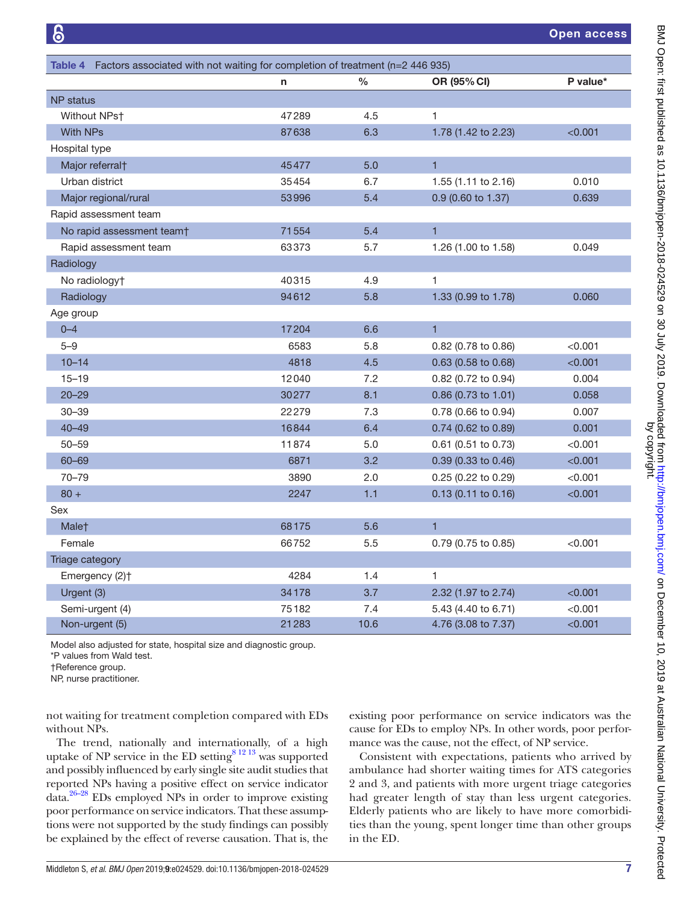Open access

<span id="page-6-0"></span>

| Table 4 Factors associated with not waiting for completion of treatment (n=2 446 935) |       |      |                        |          |  |
|---------------------------------------------------------------------------------------|-------|------|------------------------|----------|--|
|                                                                                       | n     | %    | OR (95% CI)            | P value* |  |
| NP status                                                                             |       |      |                        |          |  |
| Without NPs <sup>+</sup>                                                              | 47289 | 4.5  | 1                      |          |  |
| <b>With NPs</b>                                                                       | 87638 | 6.3  | 1.78 (1.42 to 2.23)    | < 0.001  |  |
| Hospital type                                                                         |       |      |                        |          |  |
| Major referral <sup>+</sup>                                                           | 45477 | 5.0  | 1                      |          |  |
| Urban district                                                                        | 35454 | 6.7  | 1.55 (1.11 to 2.16)    | 0.010    |  |
| Major regional/rural                                                                  | 53996 | 5.4  | 0.9 (0.60 to 1.37)     | 0.639    |  |
| Rapid assessment team                                                                 |       |      |                        |          |  |
| No rapid assessment team†                                                             | 71554 | 5.4  | $\mathbf{1}$           |          |  |
| Rapid assessment team                                                                 | 63373 | 5.7  | 1.26 (1.00 to 1.58)    | 0.049    |  |
| Radiology                                                                             |       |      |                        |          |  |
| No radiology <sup>+</sup>                                                             | 40315 | 4.9  | 1                      |          |  |
| Radiology                                                                             | 94612 | 5.8  | 1.33 (0.99 to 1.78)    | 0.060    |  |
| Age group                                                                             |       |      |                        |          |  |
| $0 - 4$                                                                               | 17204 | 6.6  | $\mathbf{1}$           |          |  |
| $5 - 9$                                                                               | 6583  | 5.8  | 0.82 (0.78 to 0.86)    | < 0.001  |  |
| $10 - 14$                                                                             | 4818  | 4.5  | 0.63 (0.58 to 0.68)    | < 0.001  |  |
| $15 - 19$                                                                             | 12040 | 7.2  | 0.82 (0.72 to 0.94)    | 0.004    |  |
| $20 - 29$                                                                             | 30277 | 8.1  | 0.86 (0.73 to 1.01)    | 0.058    |  |
| $30 - 39$                                                                             | 22279 | 7.3  | 0.78 (0.66 to 0.94)    | 0.007    |  |
| $40 - 49$                                                                             | 16844 | 6.4  | 0.74 (0.62 to 0.89)    | 0.001    |  |
| $50 - 59$                                                                             | 11874 | 5.0  | 0.61 (0.51 to 0.73)    | < 0.001  |  |
| $60 - 69$                                                                             | 6871  | 3.2  | 0.39 (0.33 to 0.46)    | < 0.001  |  |
| 70-79                                                                                 | 3890  | 2.0  | 0.25 (0.22 to 0.29)    | < 0.001  |  |
| $80 +$                                                                                | 2247  | 1.1  | $0.13(0.11$ to $0.16)$ | < 0.001  |  |
| Sex                                                                                   |       |      |                        |          |  |
| Male†                                                                                 | 68175 | 5.6  | $\mathbf{1}$           |          |  |
| Female                                                                                | 66752 | 5.5  | 0.79 (0.75 to 0.85)    | < 0.001  |  |
| Triage category                                                                       |       |      |                        |          |  |
| Emergency (2) <sup>+</sup>                                                            | 4284  | 1.4  | 1                      |          |  |
| Urgent (3)                                                                            | 34178 | 3.7  | 2.32 (1.97 to 2.74)    | < 0.001  |  |
| Semi-urgent (4)                                                                       | 75182 | 7.4  | 5.43 (4.40 to 6.71)    | < 0.001  |  |
| Non-urgent (5)                                                                        | 21283 | 10.6 | 4.76 (3.08 to 7.37)    | < 0.001  |  |

Model also adjusted for state, hospital size and diagnostic group.

\*P values from Wald test.

†Reference group.

NP, nurse practitioner.

not waiting for treatment completion compared with EDs without NPs.

The trend, nationally and internationally, of a high uptake of NP service in the ED setting  $8^{12}$  13 was supported and possibly influenced by early single site audit studies that reported NPs having a positive effect on service indicator  $data.<sup>26-28</sup>$  EDs employed NPs in order to improve existing poor performance on service indicators. That these assumptions were not supported by the study findings can possibly be explained by the effect of reverse causation. That is, the

existing poor performance on service indicators was the cause for EDs to employ NPs. In other words, poor performance was the cause, not the effect, of NP service.

Consistent with expectations, patients who arrived by ambulance had shorter waiting times for ATS categories 2 and 3, and patients with more urgent triage categories had greater length of stay than less urgent categories. Elderly patients who are likely to have more comorbidities than the young, spent longer time than other groups in the ED.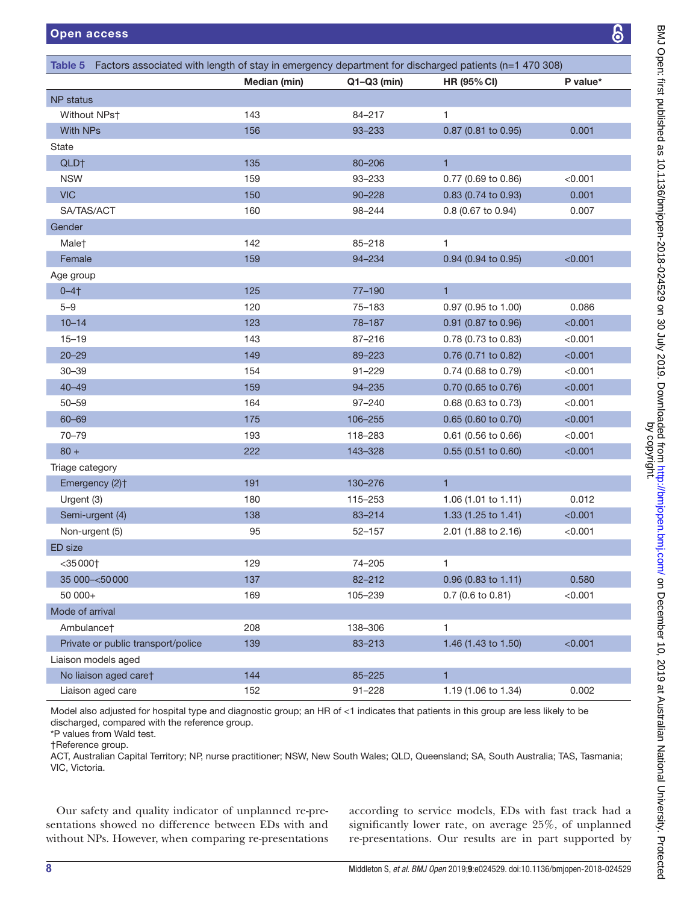<span id="page-7-0"></span>

|                                    |     |                               | Table 5 Factors associated with length of stay in emergency department for discharged patients ( $n=1$ 470 308) |          |
|------------------------------------|-----|-------------------------------|-----------------------------------------------------------------------------------------------------------------|----------|
|                                    |     | Median (min)<br>$Q1-Q3$ (min) | <b>HR (95% CI)</b>                                                                                              | P value* |
| NP status                          |     |                               |                                                                                                                 |          |
| Without NPst                       | 143 | 84-217                        | 1                                                                                                               |          |
| With NPs                           | 156 | 93-233                        | 0.87 (0.81 to 0.95)                                                                                             | 0.001    |
| State                              |     |                               |                                                                                                                 |          |
| QLD†                               | 135 | 80-206                        | 1                                                                                                               |          |
| <b>NSW</b>                         | 159 | 93-233                        | 0.77 (0.69 to 0.86)                                                                                             | < 0.001  |
| <b>VIC</b>                         | 150 | $90 - 228$                    | 0.83 (0.74 to 0.93)                                                                                             | 0.001    |
| SA/TAS/ACT                         | 160 | 98-244                        | 0.8 (0.67 to 0.94)                                                                                              | 0.007    |
| Gender                             |     |                               |                                                                                                                 |          |
| Male†                              | 142 | 85-218                        | 1                                                                                                               |          |
| Female                             | 159 | 94-234                        | 0.94 (0.94 to 0.95)                                                                                             | < 0.001  |
| Age group                          |     |                               |                                                                                                                 |          |
| $0 - 4 +$                          | 125 | 77-190                        | $\mathbf{1}$                                                                                                    |          |
| $5 - 9$                            | 120 | 75-183                        | 0.97 (0.95 to 1.00)                                                                                             | 0.086    |
| $10 - 14$                          | 123 | 78-187                        | 0.91 (0.87 to 0.96)                                                                                             | < 0.001  |
| $15 - 19$                          | 143 | $87 - 216$                    | 0.78 (0.73 to 0.83)                                                                                             | < 0.001  |
| $20 - 29$                          | 149 | 89-223                        | 0.76 (0.71 to 0.82)                                                                                             | < 0.001  |
| $30 - 39$                          | 154 | $91 - 229$                    | 0.74 (0.68 to 0.79)                                                                                             | < 0.001  |
| $40 - 49$                          | 159 | 94-235                        | 0.70 (0.65 to 0.76)                                                                                             | < 0.001  |
| $50 - 59$                          | 164 | $97 - 240$                    | 0.68 (0.63 to 0.73)                                                                                             | < 0.001  |
| 60-69                              | 175 | 106-255                       | 0.65 (0.60 to 0.70)                                                                                             | < 0.001  |
| $70 - 79$                          | 193 | 118-283                       | 0.61 (0.56 to 0.66)                                                                                             | < 0.001  |
| $80 +$                             | 222 | 143-328                       | 0.55 (0.51 to 0.60)                                                                                             | < 0.001  |
| Triage category                    |     |                               |                                                                                                                 |          |
| Emergency (2) <sup>+</sup>         | 191 | 130-276                       | $\mathbf{1}$                                                                                                    |          |
| Urgent (3)                         | 180 | 115-253                       | 1.06 (1.01 to 1.11)                                                                                             | 0.012    |
| Semi-urgent (4)                    | 138 | 83-214                        | 1.33 (1.25 to 1.41)                                                                                             | < 0.001  |
| Non-urgent (5)                     | 95  | $52 - 157$                    | 2.01 (1.88 to 2.16)                                                                                             | < 0.001  |
| ED size                            |     |                               |                                                                                                                 |          |
| $<$ 35000†                         | 129 | 74-205                        | 1.                                                                                                              |          |
| 35 000 -< 50 000                   | 137 | $82 - 212$                    | 0.96 (0.83 to 1.11)                                                                                             | 0.580    |
| 50 000+                            | 169 | 105-239                       | 0.7 (0.6 to 0.81)                                                                                               | < 0.001  |
| Mode of arrival                    |     |                               |                                                                                                                 |          |
| Ambulance <sup>+</sup>             | 208 | 138-306                       | 1                                                                                                               |          |
| Private or public transport/police | 139 | 83-213                        | 1.46 (1.43 to 1.50)                                                                                             | < 0.001  |
| Liaison models aged                |     |                               |                                                                                                                 |          |
| No liaison aged care†              | 144 | $85 - 225$                    | $\mathbf{1}$                                                                                                    |          |
| Liaison aged care                  | 152 | $91 - 228$                    | 1.19 (1.06 to 1.34)                                                                                             | 0.002    |

Model also adjusted for hospital type and diagnostic group; an HR of <1 indicates that patients in this group are less likely to be discharged, compared with the reference group.

\*P values from Wald test.

†Reference group.

ACT, Australian Capital Territory; NP, nurse practitioner; NSW, New South Wales; QLD, Queensland; SA, South Australia; TAS, Tasmania; VIC, Victoria.

Our safety and quality indicator of unplanned re-presentations showed no difference between EDs with and without NPs. However, when comparing re-presentations

according to service models, EDs with fast track had a significantly lower rate, on average 25%, of unplanned re-presentations. Our results are in part supported by

၆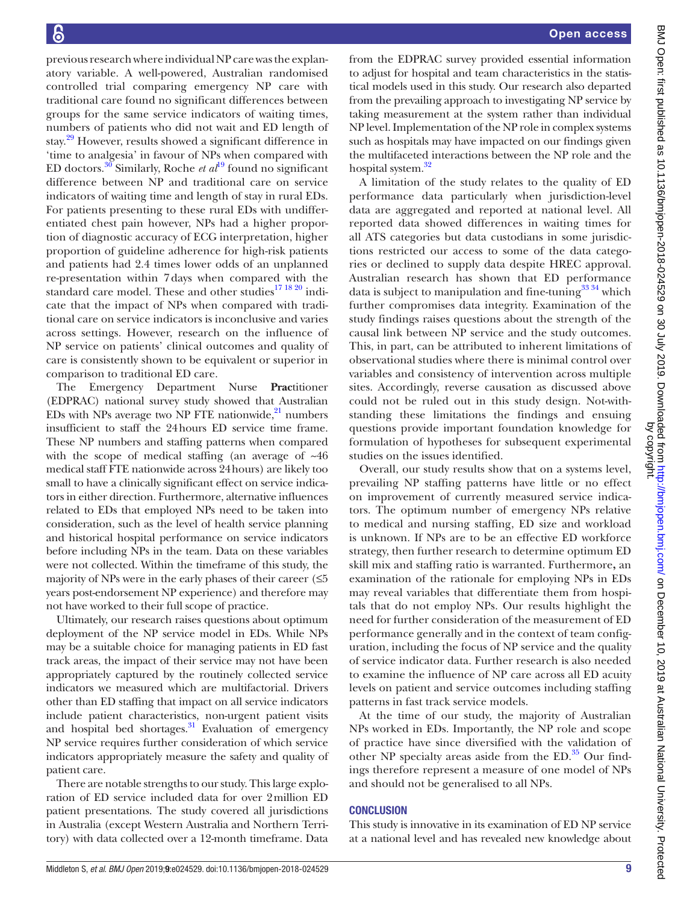previous research where individual NP care was the explanatory variable. A well-powered, Australian randomised controlled trial comparing emergency NP care with traditional care found no significant differences between groups for the same service indicators of waiting times, numbers of patients who did not wait and ED length of stay.<sup>29</sup> However, results showed a significant difference in 'time to analgesia' in favour of NPs when compared with ED doctors.<sup>30</sup> Similarly, Roche *et al*<sup>[19](#page-9-10)</sup> found no significant difference between NP and traditional care on service indicators of waiting time and length of stay in rural EDs. For patients presenting to these rural EDs with undifferentiated chest pain however, NPs had a higher proportion of diagnostic accuracy of ECG interpretation, higher proportion of guideline adherence for high-risk patients and patients had 2.4 times lower odds of an unplanned re-presentation within 7days when compared with the standard care model. These and other studies<sup>17 18 20</sup> indicate that the impact of NPs when compared with traditional care on service indicators is inconclusive and varies across settings. However, research on the influence of NP service on patients' clinical outcomes and quality of care is consistently shown to be equivalent or superior in comparison to traditional ED care.

The Emergency Department Nurse **Prac**titioner (EDPRAC) national survey study showed that Australian EDs with NPs average two NP FTE nationwide, $^{21}$  numbers insufficient to staff the 24hours ED service time frame. These NP numbers and staffing patterns when compared with the scope of medical staffing (an average of ~46 medical staff FTE nationwide across 24hours) are likely too small to have a clinically significant effect on service indicators in either direction. Furthermore, alternative influences related to EDs that employed NPs need to be taken into consideration, such as the level of health service planning and historical hospital performance on service indicators before including NPs in the team. Data on these variables were not collected. Within the timeframe of this study, the majority of NPs were in the early phases of their career  $(55$ years post-endorsement NP experience) and therefore may not have worked to their full scope of practice.

Ultimately, our research raises questions about optimum deployment of the NP service model in EDs. While NPs may be a suitable choice for managing patients in ED fast track areas, the impact of their service may not have been appropriately captured by the routinely collected service indicators we measured which are multifactorial. Drivers other than ED staffing that impact on all service indicators include patient characteristics, non-urgent patient visits and hospital bed shortages[.31](#page-10-7) Evaluation of emergency NP service requires further consideration of which service indicators appropriately measure the safety and quality of patient care.

There are notable strengths to our study. This large exploration of ED service included data for over 2million ED patient presentations. The study covered all jurisdictions in Australia (except Western Australia and Northern Territory) with data collected over a 12-month timeframe. Data

from the EDPRAC survey provided essential information to adjust for hospital and team characteristics in the statistical models used in this study. Our research also departed from the prevailing approach to investigating NP service by taking measurement at the system rather than individual NP level. Implementation of the NP role in complex systems such as hospitals may have impacted on our findings given the multifaceted interactions between the NP role and the hospital system.<sup>32</sup>

A limitation of the study relates to the quality of ED performance data particularly when jurisdiction-level data are aggregated and reported at national level. All reported data showed differences in waiting times for all ATS categories but data custodians in some jurisdictions restricted our access to some of the data categories or declined to supply data despite HREC approval. Australian research has shown that ED performance data is subject to manipulation and fine-tuning $33\frac{34}{10}$  which further compromises data integrity. Examination of the study findings raises questions about the strength of the causal link between NP service and the study outcomes. This, in part, can be attributed to inherent limitations of observational studies where there is minimal control over variables and consistency of intervention across multiple sites. Accordingly, reverse causation as discussed above could not be ruled out in this study design. Not-withstanding these limitations the findings and ensuing questions provide important foundation knowledge for formulation of hypotheses for subsequent experimental studies on the issues identified.

Overall, our study results show that on a systems level, prevailing NP staffing patterns have little or no effect on improvement of currently measured service indicators. The optimum number of emergency NPs relative to medical and nursing staffing, ED size and workload is unknown. If NPs are to be an effective ED workforce strategy, then further research to determine optimum ED skill mix and staffing ratio is warranted. Furthermore**,** an examination of the rationale for employing NPs in EDs may reveal variables that differentiate them from hospitals that do not employ NPs. Our results highlight the need for further consideration of the measurement of ED performance generally and in the context of team configuration, including the focus of NP service and the quality of service indicator data. Further research is also needed to examine the influence of NP care across all ED acuity levels on patient and service outcomes including staffing patterns in fast track service models.

At the time of our study, the majority of Australian NPs worked in EDs. Importantly, the NP role and scope of practice have since diversified with the validation of other NP specialty areas aside from the  $ED.^{35}$  $ED.^{35}$  $ED.^{35}$  Our findings therefore represent a measure of one model of NPs and should not be generalised to all NPs.

### **CONCLUSION**

This study is innovative in its examination of ED NP service at a national level and has revealed new knowledge about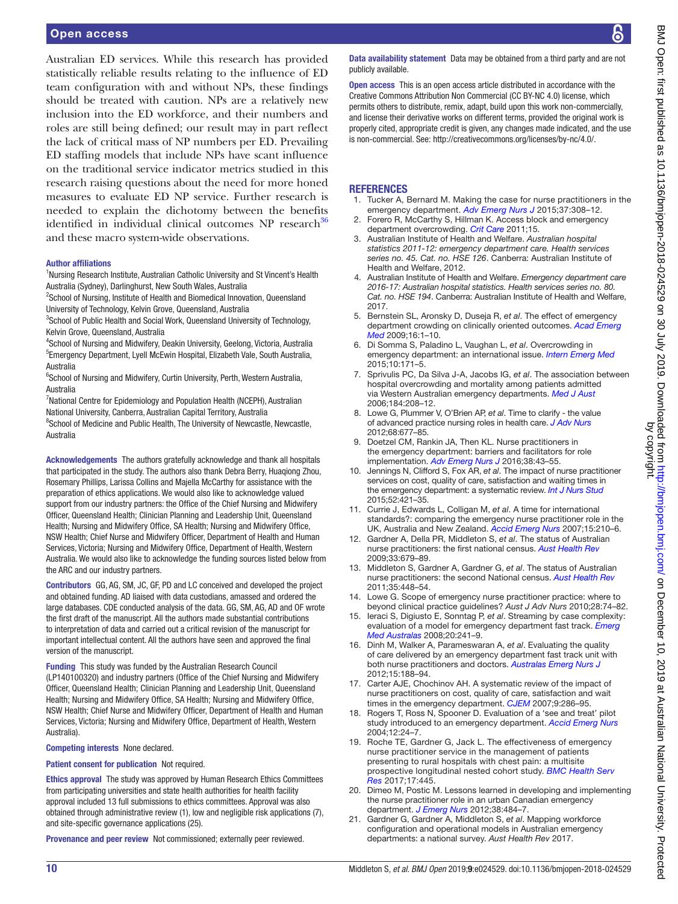#### Open access

Australian ED services. While this research has provided statistically reliable results relating to the influence of ED team configuration with and without NPs, these findings should be treated with caution. NPs are a relatively new inclusion into the ED workforce, and their numbers and roles are still being defined; our result may in part reflect the lack of critical mass of NP numbers per ED. Prevailing ED staffing models that include NPs have scant influence on the traditional service indicator metrics studied in this research raising questions about the need for more honed measures to evaluate ED NP service. Further research is needed to explain the dichotomy between the benefits identified in individual clinical outcomes  $NP$  research<sup>[36](#page-10-11)</sup> and these macro system-wide observations.

#### Author affiliations

<sup>1</sup>Nursing Research Institute, Australian Catholic University and St Vincent's Health Australia (Sydney), Darlinghurst, New South Wales, Australia

<sup>2</sup>School of Nursing, Institute of Health and Biomedical Innovation, Queensland

University of Technology, Kelvin Grove, Queensland, Australia <sup>3</sup>School of Public Health and Social Work, Queensland University of Technology,

Kelvin Grove, Queensland, Australia

<sup>4</sup>School of Nursing and Midwifery, Deakin University, Geelong, Victoria, Australia 5 Emergency Department, Lyell McEwin Hospital, Elizabeth Vale, South Australia, Australia

<sup>6</sup>School of Nursing and Midwifery, Curtin University, Perth, Western Australia, Australia

<sup>7</sup> National Centre for Epidemiology and Population Health (NCEPH), Australian National University, Canberra, Australian Capital Territory, Australia

<sup>8</sup>School of Medicine and Public Health, The University of Newcastle, Newcastle, Australia

Acknowledgements The authors gratefully acknowledge and thank all hospitals that participated in the study. The authors also thank Debra Berry, Huaqiong Zhou, Rosemary Phillips, Larissa Collins and Majella McCarthy for assistance with the preparation of ethics applications. We would also like to acknowledge valued support from our industry partners: the Office of the Chief Nursing and Midwifery Officer, Queensland Health; Clinician Planning and Leadership Unit, Queensland Health; Nursing and Midwifery Office, SA Health; Nursing and Midwifery Office, NSW Health; Chief Nurse and Midwifery Officer, Department of Health and Human Services, Victoria; Nursing and Midwifery Office, Department of Health, Western Australia. We would also like to acknowledge the funding sources listed below from the ARC and our industry partners.

Contributors GG, AG, SM, JC, GF, PD and LC conceived and developed the project and obtained funding. AD liaised with data custodians, amassed and ordered the large databases. CDE conducted analysis of the data. GG, SM, AG, AD and OF wrote the first draft of the manuscript. All the authors made substantial contributions to interpretation of data and carried out a critical revision of the manuscript for important intellectual content. All the authors have seen and approved the final version of the manuscript.

Funding This study was funded by the Australian Research Council (LP140100320) and industry partners (Office of the Chief Nursing and Midwifery Officer, Queensland Health; Clinician Planning and Leadership Unit, Queensland Health; Nursing and Midwifery Office, SA Health; Nursing and Midwifery Office, NSW Health; Chief Nurse and Midwifery Officer, Department of Health and Human Services, Victoria; Nursing and Midwifery Office, Department of Health, Western Australia).

#### Competing interests None declared.

Patient consent for publication Not required.

Ethics approval The study was approved by Human Research Ethics Committees from participating universities and state health authorities for health facility approval included 13 full submissions to ethics committees. Approval was also obtained through administrative review (1), low and negligible risk applications (7), and site-specific governance applications (25).

Provenance and peer review Not commissioned; externally peer reviewed.

#### Data availability statement Data may be obtained from a third party and are not publicly available.

Open access This is an open access article distributed in accordance with the Creative Commons Attribution Non Commercial (CC BY-NC 4.0) license, which permits others to distribute, remix, adapt, build upon this work non-commercially, and license their derivative works on different terms, provided the original work is properly cited, appropriate credit is given, any changes made indicated, and the use is non-commercial. See: [http://creativecommons.org/licenses/by-nc/4.0/.](http://creativecommons.org/licenses/by-nc/4.0/)

#### **REFERENCES**

- <span id="page-9-0"></span>1. Tucker A, Bernard M. Making the case for nurse practitioners in the emergency department. *[Adv Emerg Nurs J](http://dx.doi.org/10.1097/TME.0000000000000081)* 2015;37:308–12.
- <span id="page-9-1"></span>2. Forero R, McCarthy S, Hillman K. Access block and emergency department overcrowding. *[Crit Care](http://dx.doi.org/10.1186/cc9998)* 2011;15.
- <span id="page-9-2"></span>3. Australian Institute of Health and Welfare. *Australian hospital statistics 2011-12: emergency department care. Health services series no. 45. Cat. no. HSE 126*. Canberra: Australian Institute of Health and Welfare, 2012.
- 4. Australian Institute of Health and Welfare. *Emergency department care 2016-17: Australian hospital statistics. Health services series no. 80. Cat. no. HSE 194*. Canberra: Australian Institute of Health and Welfare, 2017.
- <span id="page-9-3"></span>5. Bernstein SL, Aronsky D, Duseja R, *et al*. The effect of emergency department crowding on clinically oriented outcomes. *[Acad Emerg](http://dx.doi.org/10.1111/j.1553-2712.2008.00295.x)  [Med](http://dx.doi.org/10.1111/j.1553-2712.2008.00295.x)* 2009;16:1–10.
- 6. Di Somma S, Paladino L, Vaughan L, *et al*. Overcrowding in emergency department: an international issue. *[Intern Emerg Med](http://dx.doi.org/10.1007/s11739-014-1154-8)* 2015;10:171–5.
- 7. Sprivulis PC, Da Silva J-A, Jacobs IG, *et al*. The association between hospital overcrowding and mortality among patients admitted via Western Australian emergency departments. *[Med J Aust](http://www.ncbi.nlm.nih.gov/pubmed/16515429)* 2006;184:208–12.
- <span id="page-9-4"></span>8. Lowe G, Plummer V, O'Brien AP, *et al*. Time to clarify - the value of advanced practice nursing roles in health care. *[J Adv Nurs](http://dx.doi.org/10.1111/j.1365-2648.2011.05790.x)* 2012;68:677–85.
- <span id="page-9-5"></span>9. Doetzel CM, Rankin JA, Then KL. Nurse practitioners in the emergency department: barriers and facilitators for role implementation. *[Adv Emerg Nurs J](http://dx.doi.org/10.1097/TME.0000000000000090)* 2016;38:43–55.
- 10. Jennings N, Clifford S, Fox AR, *et al*. The impact of nurse practitioner services on cost, quality of care, satisfaction and waiting times in the emergency department: a systematic review. *[Int J Nurs Stud](http://dx.doi.org/10.1016/j.ijnurstu.2014.07.006)* 2015;52:421–35.
- <span id="page-9-6"></span>11. Currie J, Edwards L, Colligan M, *et al*. A time for international standards?: comparing the emergency nurse practitioner role in the UK, Australia and New Zealand. *[Accid Emerg Nurs](http://dx.doi.org/10.1016/j.aaen.2007.07.007)* 2007;15:210–6.
- <span id="page-9-7"></span>12. Gardner A, Della PR, Middleton S, *et al*. The status of Australian nurse practitioners: the first national census. *[Aust Health Rev](http://dx.doi.org/10.1071/AH090679)* 2009;33:679–89.
- 13. Middleton S, Gardner A, Gardner G, *et al*. The status of Australian nurse practitioners: the second National census. *[Aust Health Rev](http://dx.doi.org/10.1071/AH10987)* 2011;35:448–54.
- <span id="page-9-8"></span>14. Lowe G. Scope of emergency nurse practitioner practice: where to beyond clinical practice guidelines? *Aust J Adv Nurs* 2010;28:74–82.
- 15. Ieraci S, Digiusto E, Sonntag P, *et al*. Streaming by case complexity: evaluation of a model for emergency department fast track. *[Emerg](http://dx.doi.org/10.1111/j.1742-6723.2008.01087.x)  [Med Australas](http://dx.doi.org/10.1111/j.1742-6723.2008.01087.x)* 2008;20:241–9.
- <span id="page-9-9"></span>16. Dinh M, Walker A, Parameswaran A, *et al*. Evaluating the quality of care delivered by an emergency department fast track unit with both nurse practitioners and doctors. *[Australas Emerg Nurs J](http://dx.doi.org/10.1016/j.aenj.2012.09.001)* 2012;15:188–94.
- <span id="page-9-13"></span>17. Carter AJE, Chochinov AH. A systematic review of the impact of nurse practitioners on cost, quality of care, satisfaction and wait times in the emergency department. *[CJEM](http://dx.doi.org/10.1017/S1481803500015189)* 2007;9:286–95.
- 18. Rogers T, Ross N, Spooner D. Evaluation of a 'see and treat' pilot study introduced to an emergency department. *[Accid Emerg Nurs](http://dx.doi.org/10.1016/j.aaen.2003.08.005)* 2004;12:24–7.
- <span id="page-9-10"></span>19. Roche TE, Gardner G, Jack L. The effectiveness of emergency nurse practitioner service in the management of patients presenting to rural hospitals with chest pain: a multisite prospective longitudinal nested cohort study. *[BMC Health Serv](http://dx.doi.org/10.1186/s12913-017-2395-9)  [Res](http://dx.doi.org/10.1186/s12913-017-2395-9)* 2017;17:445.
- <span id="page-9-11"></span>20. Dimeo M, Postic M. Lessons learned in developing and implementing the nurse practitioner role in an urban Canadian emergency department. *[J Emerg Nurs](http://dx.doi.org/10.1016/j.jen.2011.08.015)* 2012;38:484–7.
- <span id="page-9-12"></span>21. Gardner G, Gardner A, Middleton S, *et al*. Mapping workforce configuration and operational models in Australian emergency departments: a national survey. *Aust Health Rev* 2017.